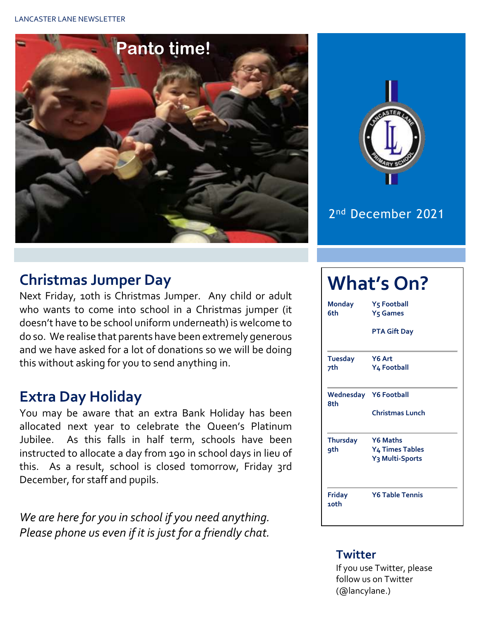



#### 2 nd December 2021

### **Christmas Jumper Day**

Next Friday, 10th is Christmas Jumper. Any child or adult who wants to come into school in a Christmas jumper (it doesn't have to be school uniform underneath) is welcome to do so. We realise that parents have been extremely generous and we have asked for a lot of donations so we will be doing this without asking for you to send anything in.

## **Extra Day Holiday**

You may be aware that an extra Bank Holiday has been allocated next year to celebrate the Queen's Platinum Jubilee. As this falls in half term, schools have been instructed to allocate a day from 190 in school days in lieu of this. As a result, school is closed tomorrow, Friday 3rd December, for staff and pupils.

*We are here for you in school if you need anything. Please phone us even if it is just for a friendly chat.* 

# **What's On?**

| <b>Monday</b><br>6th  | Y5 Football<br>Y <sub>5</sub> Games                        |  |  |  |  |  |  |
|-----------------------|------------------------------------------------------------|--|--|--|--|--|--|
|                       | <b>PTA Gift Day</b>                                        |  |  |  |  |  |  |
| <b>Tuesday</b><br>7th | Y6 Art<br>Y4 Football                                      |  |  |  |  |  |  |
| 8th                   | <b>Wednesday</b> Y6 Football<br><b>Christmas Lunch</b>     |  |  |  |  |  |  |
| <b>Thursday</b>       | <b>Y6 Maths</b>                                            |  |  |  |  |  |  |
| 9th                   | Y <sub>4</sub> Times Tables<br>Y <sub>3</sub> Multi-Sports |  |  |  |  |  |  |
| Friday<br>10th        | <b>Y6 Table Tennis</b>                                     |  |  |  |  |  |  |

#### **Twitter**

If you use Twitter, please follow us on Twitter (@lancylane.)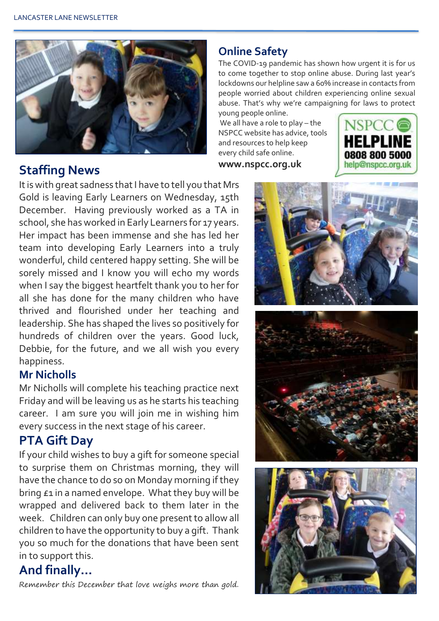

## **www.nspcc.org.uk Staffing News**

It is with great sadness that I have to tell you that Mrs Gold is leaving Early Learners on Wednesday, 15th December. Having previously worked as a TA in school, she has worked in Early Learners for 17 years. Her impact has been immense and she has led her team into developing Early Learners into a truly wonderful, child centered happy setting. She will be sorely missed and I know you will echo my words when I say the biggest heartfelt thank you to her for all she has done for the many children who have thrived and flourished under her teaching and leadership. She has shaped the lives so positively for hundreds of children over the years. Good luck, Debbie, for the future, and we all wish you every happiness.

#### **Mr Nicholls**

Mr Nicholls will complete his teaching practice next Friday and will be leaving us as he starts his teaching career. I am sure you will join me in wishing him every success in the next stage of his career.

#### **PTA Gift Day**

If your child wishes to buy a gift for someone special to surprise them on Christmas morning, they will have the chance to do so on Monday morning if they bring  $\epsilon$ 1 in a named envelope. What they buy will be wrapped and delivered back to them later in the week. Children can only buy one present to allow all children to have the opportunity to buy a gift. Thank you so much for the donations that have been sent in to support this.

#### **And finally…**

Remember this December that love weighs more than gold.

#### **Online Safety**

The COVID-19 pandemic has shown how urgent it is for us to come together to stop online abuse. During last year's lockdowns our helpline saw a 60% increase in contacts from people worried about children experiencing online sexual abuse. That's why we're campaigning for laws to protect young people online.

We all have a role to play – the NSPCC website has advice, tools and resources to help keep every child safe online.